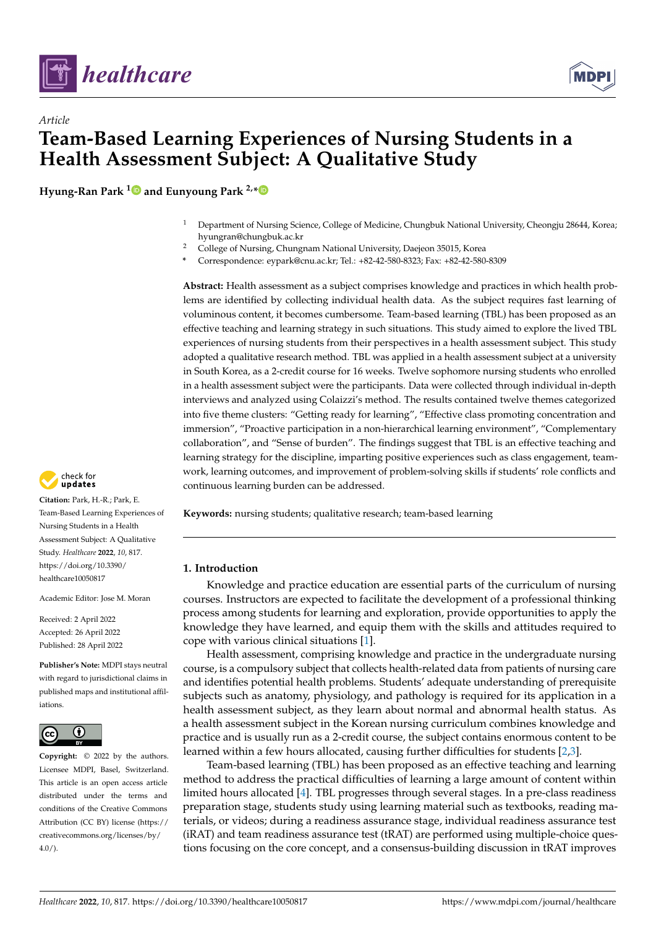



# *Article* **Team-Based Learning Experiences of Nursing Students in a Health Assessment Subject: A Qualitative Study**

**Hyung-Ran Park [1](https://orcid.org/0000-0002-9769-6838) and Eunyoung Park 2,[\\*](https://orcid.org/0000-0002-2251-3582)**

- <sup>1</sup> Department of Nursing Science, College of Medicine, Chungbuk National University, Cheongju 28644, Korea; hyungran@chungbuk.ac.kr
- <sup>2</sup> College of Nursing, Chungnam National University, Daejeon 35015, Korea
- **\*** Correspondence: eypark@cnu.ac.kr; Tel.: +82-42-580-8323; Fax: +82-42-580-8309

**Abstract:** Health assessment as a subject comprises knowledge and practices in which health problems are identified by collecting individual health data. As the subject requires fast learning of voluminous content, it becomes cumbersome. Team-based learning (TBL) has been proposed as an effective teaching and learning strategy in such situations. This study aimed to explore the lived TBL experiences of nursing students from their perspectives in a health assessment subject. This study adopted a qualitative research method. TBL was applied in a health assessment subject at a university in South Korea, as a 2-credit course for 16 weeks. Twelve sophomore nursing students who enrolled in a health assessment subject were the participants. Data were collected through individual in-depth interviews and analyzed using Colaizzi's method. The results contained twelve themes categorized into five theme clusters: "Getting ready for learning", "Effective class promoting concentration and immersion", "Proactive participation in a non-hierarchical learning environment", "Complementary collaboration", and "Sense of burden". The findings suggest that TBL is an effective teaching and learning strategy for the discipline, imparting positive experiences such as class engagement, teamwork, learning outcomes, and improvement of problem-solving skills if students' role conflicts and continuous learning burden can be addressed.

**Keywords:** nursing students; qualitative research; team-based learning

## **1. Introduction**

Knowledge and practice education are essential parts of the curriculum of nursing courses. Instructors are expected to facilitate the development of a professional thinking process among students for learning and exploration, provide opportunities to apply the knowledge they have learned, and equip them with the skills and attitudes required to cope with various clinical situations [\[1\]](#page-13-0).

Health assessment, comprising knowledge and practice in the undergraduate nursing course, is a compulsory subject that collects health-related data from patients of nursing care and identifies potential health problems. Students' adequate understanding of prerequisite subjects such as anatomy, physiology, and pathology is required for its application in a health assessment subject, as they learn about normal and abnormal health status. As a health assessment subject in the Korean nursing curriculum combines knowledge and practice and is usually run as a 2-credit course, the subject contains enormous content to be learned within a few hours allocated, causing further difficulties for students [\[2,](#page-13-1)[3\]](#page-13-2).

Team-based learning (TBL) has been proposed as an effective teaching and learning method to address the practical difficulties of learning a large amount of content within limited hours allocated [\[4\]](#page-13-3). TBL progresses through several stages. In a pre-class readiness preparation stage, students study using learning material such as textbooks, reading materials, or videos; during a readiness assurance stage, individual readiness assurance test (iRAT) and team readiness assurance test (tRAT) are performed using multiple-choice questions focusing on the core concept, and a consensus-building discussion in tRAT improves



**Citation:** Park, H.-R.; Park, E. Team-Based Learning Experiences of Nursing Students in a Health Assessment Subject: A Qualitative Study. *Healthcare* **2022**, *10*, 817. [https://doi.org/10.3390/](https://doi.org/10.3390/healthcare10050817) [healthcare10050817](https://doi.org/10.3390/healthcare10050817)

Academic Editor: Jose M. Moran

Received: 2 April 2022 Accepted: 26 April 2022 Published: 28 April 2022

**Publisher's Note:** MDPI stays neutral with regard to jurisdictional claims in published maps and institutional affiliations.



**Copyright:** © 2022 by the authors. Licensee MDPI, Basel, Switzerland. This article is an open access article distributed under the terms and conditions of the Creative Commons Attribution (CC BY) license [\(https://](https://creativecommons.org/licenses/by/4.0/) [creativecommons.org/licenses/by/](https://creativecommons.org/licenses/by/4.0/)  $4.0/$ ).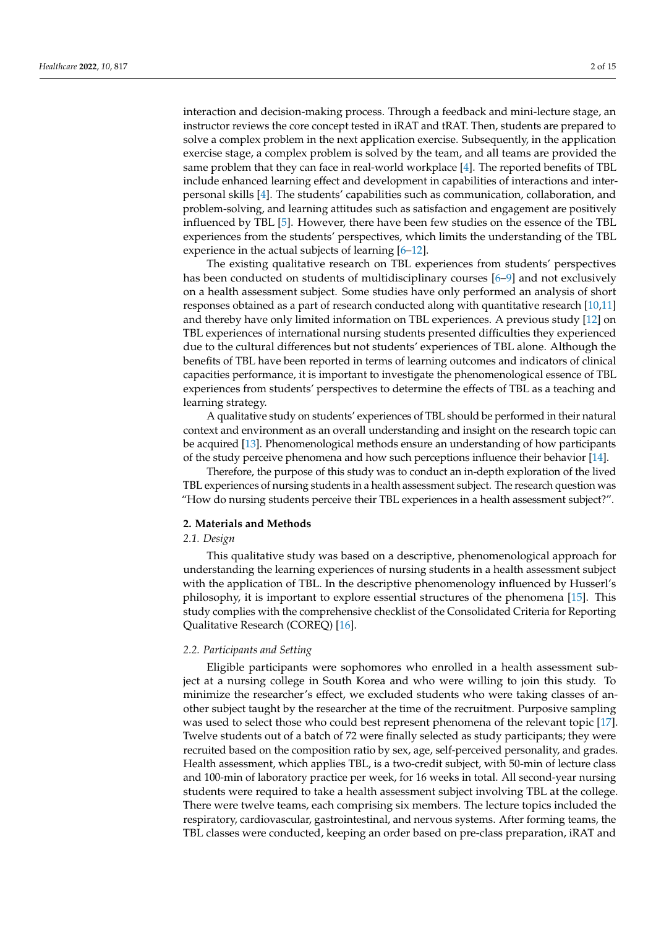interaction and decision-making process. Through a feedback and mini-lecture stage, an instructor reviews the core concept tested in iRAT and tRAT. Then, students are prepared to solve a complex problem in the next application exercise. Subsequently, in the application exercise stage, a complex problem is solved by the team, and all teams are provided the same problem that they can face in real-world workplace [\[4\]](#page-13-3). The reported benefits of TBL include enhanced learning effect and development in capabilities of interactions and interpersonal skills [\[4\]](#page-13-3). The students' capabilities such as communication, collaboration, and problem-solving, and learning attitudes such as satisfaction and engagement are positively influenced by TBL [\[5\]](#page-13-4). However, there have been few studies on the essence of the TBL experiences from the students' perspectives, which limits the understanding of the TBL experience in the actual subjects of learning [\[6–](#page-13-5)[12\]](#page-13-6).

The existing qualitative research on TBL experiences from students' perspectives has been conducted on students of multidisciplinary courses [\[6](#page-13-5)[–9\]](#page-13-7) and not exclusively on a health assessment subject. Some studies have only performed an analysis of short responses obtained as a part of research conducted along with quantitative research [\[10,](#page-13-8)[11\]](#page-13-9) and thereby have only limited information on TBL experiences. A previous study [\[12\]](#page-13-6) on TBL experiences of international nursing students presented difficulties they experienced due to the cultural differences but not students' experiences of TBL alone. Although the benefits of TBL have been reported in terms of learning outcomes and indicators of clinical capacities performance, it is important to investigate the phenomenological essence of TBL experiences from students' perspectives to determine the effects of TBL as a teaching and learning strategy.

A qualitative study on students' experiences of TBL should be performed in their natural context and environment as an overall understanding and insight on the research topic can be acquired [\[13\]](#page-13-10). Phenomenological methods ensure an understanding of how participants of the study perceive phenomena and how such perceptions influence their behavior [\[14\]](#page-13-11).

Therefore, the purpose of this study was to conduct an in-depth exploration of the lived TBL experiences of nursing students in a health assessment subject. The research question was "How do nursing students perceive their TBL experiences in a health assessment subject?".

#### **2. Materials and Methods**

# *2.1. Design*

This qualitative study was based on a descriptive, phenomenological approach for understanding the learning experiences of nursing students in a health assessment subject with the application of TBL. In the descriptive phenomenology influenced by Husserl's philosophy, it is important to explore essential structures of the phenomena [\[15\]](#page-13-12). This study complies with the comprehensive checklist of the Consolidated Criteria for Reporting Qualitative Research (COREQ) [\[16\]](#page-13-13).

## *2.2. Participants and Setting*

Eligible participants were sophomores who enrolled in a health assessment subject at a nursing college in South Korea and who were willing to join this study. To minimize the researcher's effect, we excluded students who were taking classes of another subject taught by the researcher at the time of the recruitment. Purposive sampling was used to select those who could best represent phenomena of the relevant topic [\[17\]](#page-13-14). Twelve students out of a batch of 72 were finally selected as study participants; they were recruited based on the composition ratio by sex, age, self-perceived personality, and grades. Health assessment, which applies TBL, is a two-credit subject, with 50-min of lecture class and 100-min of laboratory practice per week, for 16 weeks in total. All second-year nursing students were required to take a health assessment subject involving TBL at the college. There were twelve teams, each comprising six members. The lecture topics included the respiratory, cardiovascular, gastrointestinal, and nervous systems. After forming teams, the TBL classes were conducted, keeping an order based on pre-class preparation, iRAT and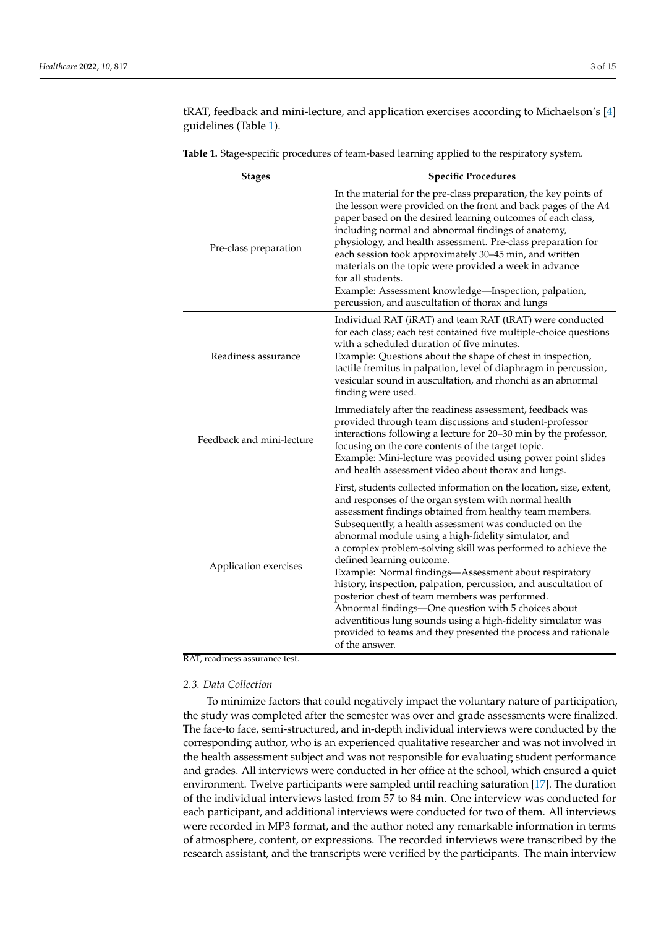tRAT, feedback and mini-lecture, and application exercises according to Michaelson's [\[4\]](#page-13-3) guidelines (Table [1\)](#page-2-0).

| <b>Stages</b>             | <b>Specific Procedures</b>                                                                                                                                                                                                                                                                                                                                                                                                                                                                                                                                                                                                                                                                                                                                                                      |
|---------------------------|-------------------------------------------------------------------------------------------------------------------------------------------------------------------------------------------------------------------------------------------------------------------------------------------------------------------------------------------------------------------------------------------------------------------------------------------------------------------------------------------------------------------------------------------------------------------------------------------------------------------------------------------------------------------------------------------------------------------------------------------------------------------------------------------------|
| Pre-class preparation     | In the material for the pre-class preparation, the key points of<br>the lesson were provided on the front and back pages of the A4<br>paper based on the desired learning outcomes of each class,<br>including normal and abnormal findings of anatomy,<br>physiology, and health assessment. Pre-class preparation for<br>each session took approximately 30-45 min, and written<br>materials on the topic were provided a week in advance<br>for all students.<br>Example: Assessment knowledge-Inspection, palpation,<br>percussion, and auscultation of thorax and lungs                                                                                                                                                                                                                    |
| Readiness assurance       | Individual RAT (iRAT) and team RAT (tRAT) were conducted<br>for each class; each test contained five multiple-choice questions<br>with a scheduled duration of five minutes.<br>Example: Questions about the shape of chest in inspection,<br>tactile fremitus in palpation, level of diaphragm in percussion,<br>vesicular sound in auscultation, and rhonchi as an abnormal<br>finding were used.                                                                                                                                                                                                                                                                                                                                                                                             |
| Feedback and mini-lecture | Immediately after the readiness assessment, feedback was<br>provided through team discussions and student-professor<br>interactions following a lecture for 20-30 min by the professor,<br>focusing on the core contents of the target topic.<br>Example: Mini-lecture was provided using power point slides<br>and health assessment video about thorax and lungs.                                                                                                                                                                                                                                                                                                                                                                                                                             |
| Application exercises     | First, students collected information on the location, size, extent,<br>and responses of the organ system with normal health<br>assessment findings obtained from healthy team members.<br>Subsequently, a health assessment was conducted on the<br>abnormal module using a high-fidelity simulator, and<br>a complex problem-solving skill was performed to achieve the<br>defined learning outcome.<br>Example: Normal findings-Assessment about respiratory<br>history, inspection, palpation, percussion, and auscultation of<br>posterior chest of team members was performed.<br>Abnormal findings—One question with 5 choices about<br>adventitious lung sounds using a high-fidelity simulator was<br>provided to teams and they presented the process and rationale<br>of the answer. |

<span id="page-2-0"></span>**Table 1.** Stage-specific procedures of team-based learning applied to the respiratory system.

#### RAT, readiness assurance test.

#### *2.3. Data Collection*

To minimize factors that could negatively impact the voluntary nature of participation, the study was completed after the semester was over and grade assessments were finalized. The face-to face, semi-structured, and in-depth individual interviews were conducted by the corresponding author, who is an experienced qualitative researcher and was not involved in the health assessment subject and was not responsible for evaluating student performance and grades. All interviews were conducted in her office at the school, which ensured a quiet environment. Twelve participants were sampled until reaching saturation [\[17\]](#page-13-14). The duration of the individual interviews lasted from 57 to 84 min. One interview was conducted for each participant, and additional interviews were conducted for two of them. All interviews were recorded in MP3 format, and the author noted any remarkable information in terms of atmosphere, content, or expressions. The recorded interviews were transcribed by the research assistant, and the transcripts were verified by the participants. The main interview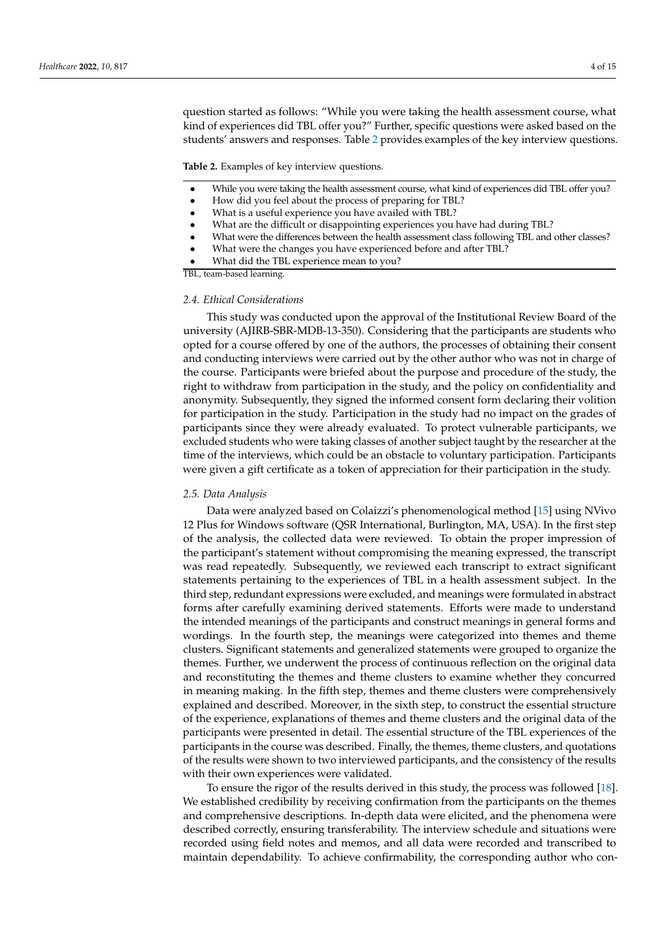question started as follows: "While you were taking the health assessment course, what kind of experiences did TBL offer you?" Further, specific questions were asked based on the students' answers and responses. Table [2](#page-3-0) provides examples of the key interview questions.

<span id="page-3-0"></span>**Table 2.** Examples of key interview questions.

- While you were taking the health assessment course, what kind of experiences did TBL offer you?
- How did you feel about the process of preparing for TBL?
- What is a useful experience you have availed with TBL?
- What are the difficult or disappointing experiences you have had during TBL?
- What were the differences between the health assessment class following TBL and other classes?
- What were the changes you have experienced before and after TBL?
- What did the TBL experience mean to you?

TBL, team-based learning.

#### *2.4. Ethical Considerations*

This study was conducted upon the approval of the Institutional Review Board of the university (AJIRB-SBR-MDB-13-350). Considering that the participants are students who opted for a course offered by one of the authors, the processes of obtaining their consent and conducting interviews were carried out by the other author who was not in charge of the course. Participants were briefed about the purpose and procedure of the study, the right to withdraw from participation in the study, and the policy on confidentiality and anonymity. Subsequently, they signed the informed consent form declaring their volition for participation in the study. Participation in the study had no impact on the grades of participants since they were already evaluated. To protect vulnerable participants, we excluded students who were taking classes of another subject taught by the researcher at the time of the interviews, which could be an obstacle to voluntary participation. Participants were given a gift certificate as a token of appreciation for their participation in the study.

#### *2.5. Data Analysis*

Data were analyzed based on Colaizzi's phenomenological method [\[15\]](#page-13-12) using NVivo 12 Plus for Windows software (QSR International, Burlington, MA, USA). In the first step of the analysis, the collected data were reviewed. To obtain the proper impression of the participant's statement without compromising the meaning expressed, the transcript was read repeatedly. Subsequently, we reviewed each transcript to extract significant statements pertaining to the experiences of TBL in a health assessment subject. In the third step, redundant expressions were excluded, and meanings were formulated in abstract forms after carefully examining derived statements. Efforts were made to understand the intended meanings of the participants and construct meanings in general forms and wordings. In the fourth step, the meanings were categorized into themes and theme clusters. Significant statements and generalized statements were grouped to organize the themes. Further, we underwent the process of continuous reflection on the original data and reconstituting the themes and theme clusters to examine whether they concurred in meaning making. In the fifth step, themes and theme clusters were comprehensively explained and described. Moreover, in the sixth step, to construct the essential structure of the experience, explanations of themes and theme clusters and the original data of the participants were presented in detail. The essential structure of the TBL experiences of the participants in the course was described. Finally, the themes, theme clusters, and quotations of the results were shown to two interviewed participants, and the consistency of the results with their own experiences were validated.

To ensure the rigor of the results derived in this study, the process was followed [\[18\]](#page-13-15). We established credibility by receiving confirmation from the participants on the themes and comprehensive descriptions. In-depth data were elicited, and the phenomena were described correctly, ensuring transferability. The interview schedule and situations were recorded using field notes and memos, and all data were recorded and transcribed to maintain dependability. To achieve confirmability, the corresponding author who con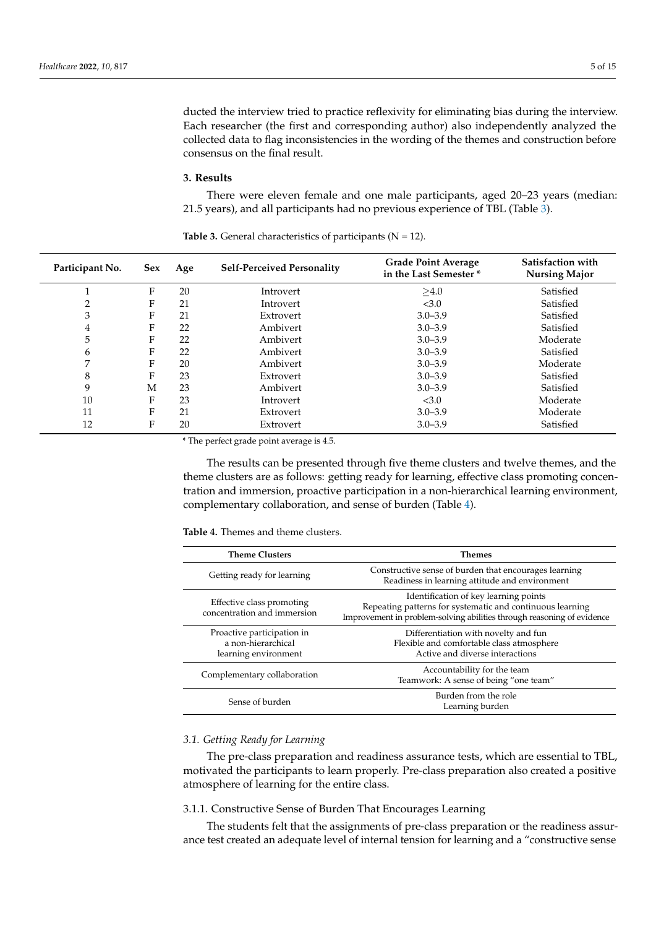ducted the interview tried to practice reflexivity for eliminating bias during the interview. Each researcher (the first and corresponding author) also independently analyzed the collected data to flag inconsistencies in the wording of the themes and construction before consensus on the final result.

## **3. Results**

There were eleven female and one male participants, aged 20–23 years (median: 21.5 years), and all participants had no previous experience of TBL (Table [3\)](#page-4-0).

| Participant No. | <b>Sex</b> | Age | <b>Self-Perceived Personality</b> | <b>Grade Point Average</b><br>in the Last Semester* | Satisfaction with<br><b>Nursing Major</b> |
|-----------------|------------|-----|-----------------------------------|-----------------------------------------------------|-------------------------------------------|
|                 |            |     |                                   |                                                     |                                           |
|                 | F          | 20  | Introvert                         | >4.0                                                | Satisfied                                 |
| າ               | F          | 21  | Introvert                         | < 3.0                                               | Satisfied                                 |
| 3               | F          | 21  | Extrovert                         | $3.0 - 3.9$                                         | Satisfied                                 |
| 4               | F          | 22  | Ambivert                          | $3.0 - 3.9$                                         | Satisfied                                 |
| 5               | F          | 22  | Ambivert                          | $3.0 - 3.9$                                         | Moderate                                  |
| 6               | F          | 22  | Ambivert                          | $3.0 - 3.9$                                         | Satisfied                                 |
| 7               | F          | 20  | Ambivert                          | $3.0 - 3.9$                                         | Moderate                                  |
| 8               | F          | 23  | Extrovert                         | $3.0 - 3.9$                                         | Satisfied                                 |
| 9               | M          | 23  | Ambivert                          | $3.0 - 3.9$                                         | Satisfied                                 |
| 10              | F          | 23  | Introvert                         | < 3.0                                               | Moderate                                  |
| 11              | F          | 21  | Extrovert                         | $3.0 - 3.9$                                         | Moderate                                  |
| 12              | F          | 20  | Extrovert                         | $3.0 - 3.9$                                         | Satisfied                                 |

<span id="page-4-0"></span>**Table 3.** General characteristics of participants  $(N = 12)$ .

\* The perfect grade point average is 4.5.

The results can be presented through five theme clusters and twelve themes, and the theme clusters are as follows: getting ready for learning, effective class promoting concentration and immersion, proactive participation in a non-hierarchical learning environment, complementary collaboration, and sense of burden (Table [4\)](#page-4-1).

<span id="page-4-1"></span>

| <b>Table 4.</b> Themes and theme clusters. |  |  |
|--------------------------------------------|--|--|
|                                            |  |  |

| <b>Theme Clusters</b>                                                    | Themes                                                                                                                                                                       |
|--------------------------------------------------------------------------|------------------------------------------------------------------------------------------------------------------------------------------------------------------------------|
| Getting ready for learning                                               | Constructive sense of burden that encourages learning<br>Readiness in learning attitude and environment                                                                      |
| Effective class promoting<br>concentration and immersion                 | Identification of key learning points<br>Repeating patterns for systematic and continuous learning<br>Improvement in problem-solving abilities through reasoning of evidence |
| Proactive participation in<br>a non-hierarchical<br>learning environment | Differentiation with novelty and fun<br>Flexible and comfortable class atmosphere<br>Active and diverse interactions                                                         |
| Complementary collaboration                                              | Accountability for the team<br>Teamwork: A sense of being "one team"                                                                                                         |
| Sense of burden                                                          | Burden from the role<br>Learning burden                                                                                                                                      |

## *3.1. Getting Ready for Learning*

The pre-class preparation and readiness assurance tests, which are essential to TBL, motivated the participants to learn properly. Pre-class preparation also created a positive atmosphere of learning for the entire class.

#### 3.1.1. Constructive Sense of Burden That Encourages Learning

The students felt that the assignments of pre-class preparation or the readiness assurance test created an adequate level of internal tension for learning and a "constructive sense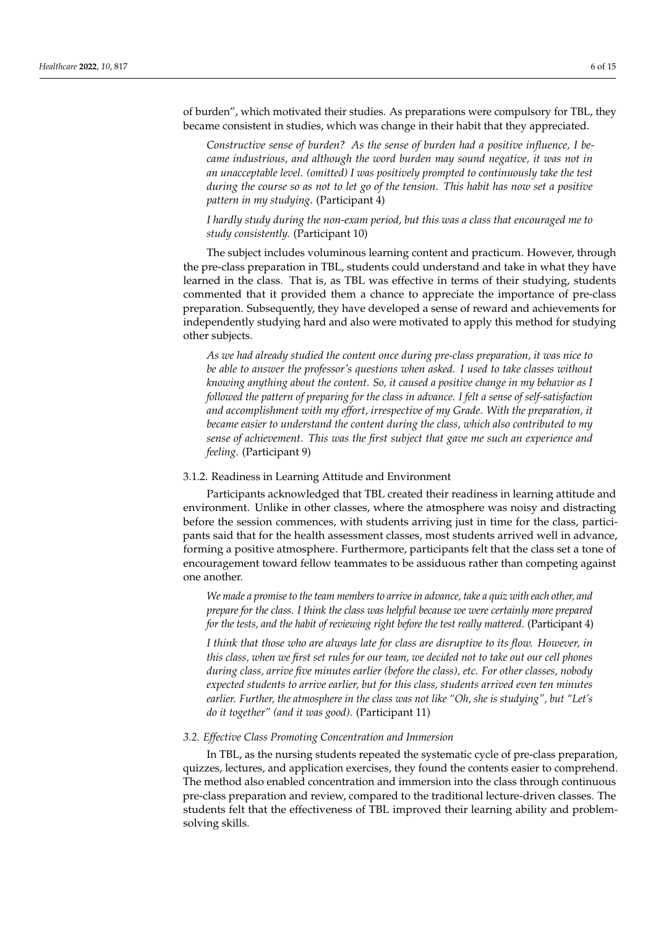of burden", which motivated their studies. As preparations were compulsory for TBL, they became consistent in studies, which was change in their habit that they appreciated.

*Constructive sense of burden? As the sense of burden had a positive influence, I became industrious, and although the word burden may sound negative, it was not in an unacceptable level. (omitted) I was positively prompted to continuously take the test during the course so as not to let go of the tension. This habit has now set a positive pattern in my studying*. (Participant 4)

*I hardly study during the non-exam period, but this was a class that encouraged me to study consistently.* (Participant 10)

The subject includes voluminous learning content and practicum. However, through the pre-class preparation in TBL, students could understand and take in what they have learned in the class. That is, as TBL was effective in terms of their studying, students commented that it provided them a chance to appreciate the importance of pre-class preparation. Subsequently, they have developed a sense of reward and achievements for independently studying hard and also were motivated to apply this method for studying other subjects.

*As we had already studied the content once during pre-class preparation, it was nice to be able to answer the professor's questions when asked. I used to take classes without knowing anything about the content. So, it caused a positive change in my behavior as I followed the pattern of preparing for the class in advance. I felt a sense of self-satisfaction and accomplishment with my effort, irrespective of my Grade. With the preparation, it became easier to understand the content during the class, which also contributed to my sense of achievement. This was the first subject that gave me such an experience and feeling.* (Participant 9)

## 3.1.2. Readiness in Learning Attitude and Environment

Participants acknowledged that TBL created their readiness in learning attitude and environment. Unlike in other classes, where the atmosphere was noisy and distracting before the session commences, with students arriving just in time for the class, participants said that for the health assessment classes, most students arrived well in advance, forming a positive atmosphere. Furthermore, participants felt that the class set a tone of encouragement toward fellow teammates to be assiduous rather than competing against one another.

*We made a promise to the team members to arrive in advance, take a quiz with each other, and prepare for the class. I think the class was helpful because we were certainly more prepared for the tests, and the habit of reviewing right before the test really mattered*. (Participant 4)

*I think that those who are always late for class are disruptive to its flow. However, in this class, when we first set rules for our team, we decided not to take out our cell phones during class, arrive five minutes earlier (before the class), etc. For other classes, nobody expected students to arrive earlier, but for this class, students arrived even ten minutes earlier. Further, the atmosphere in the class was not like "Oh, she is studying", but "Let's do it together" (and it was good).* (Participant 11)

#### *3.2. Effective Class Promoting Concentration and Immersion*

In TBL, as the nursing students repeated the systematic cycle of pre-class preparation, quizzes, lectures, and application exercises, they found the contents easier to comprehend. The method also enabled concentration and immersion into the class through continuous pre-class preparation and review, compared to the traditional lecture-driven classes. The students felt that the effectiveness of TBL improved their learning ability and problemsolving skills.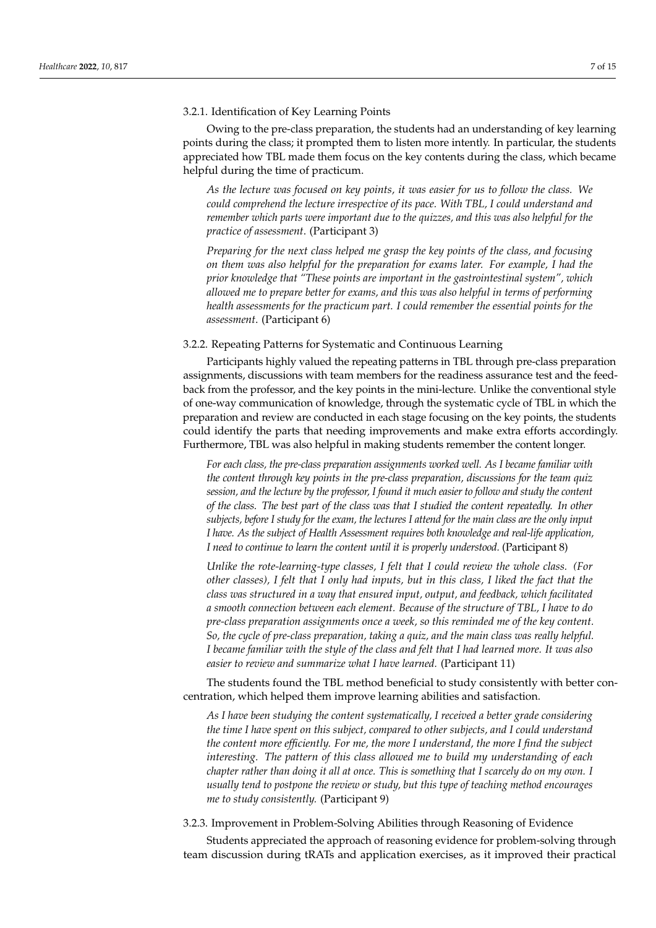## 3.2.1. Identification of Key Learning Points

Owing to the pre-class preparation, the students had an understanding of key learning points during the class; it prompted them to listen more intently. In particular, the students appreciated how TBL made them focus on the key contents during the class, which became helpful during the time of practicum.

*As the lecture was focused on key points, it was easier for us to follow the class. We could comprehend the lecture irrespective of its pace. With TBL, I could understand and remember which parts were important due to the quizzes, and this was also helpful for the practice of assessment*. (Participant 3)

*Preparing for the next class helped me grasp the key points of the class, and focusing on them was also helpful for the preparation for exams later. For example, I had the prior knowledge that "These points are important in the gastrointestinal system", which allowed me to prepare better for exams, and this was also helpful in terms of performing health assessments for the practicum part. I could remember the essential points for the assessment*. (Participant 6)

3.2.2. Repeating Patterns for Systematic and Continuous Learning

Participants highly valued the repeating patterns in TBL through pre-class preparation assignments, discussions with team members for the readiness assurance test and the feedback from the professor, and the key points in the mini-lecture. Unlike the conventional style of one-way communication of knowledge, through the systematic cycle of TBL in which the preparation and review are conducted in each stage focusing on the key points, the students could identify the parts that needing improvements and make extra efforts accordingly. Furthermore, TBL was also helpful in making students remember the content longer.

*For each class, the pre-class preparation assignments worked well. As I became familiar with the content through key points in the pre-class preparation, discussions for the team quiz session, and the lecture by the professor, I found it much easier to follow and study the content of the class. The best part of the class was that I studied the content repeatedly. In other subjects, before I study for the exam, the lectures I attend for the main class are the only input I have. As the subject of Health Assessment requires both knowledge and real-life application, I need to continue to learn the content until it is properly understood.* (Participant 8)

*Unlike the rote-learning-type classes, I felt that I could review the whole class. (For other classes), I felt that I only had inputs, but in this class, I liked the fact that the class was structured in a way that ensured input, output, and feedback, which facilitated a smooth connection between each element. Because of the structure of TBL, I have to do pre-class preparation assignments once a week, so this reminded me of the key content. So, the cycle of pre-class preparation, taking a quiz, and the main class was really helpful. I became familiar with the style of the class and felt that I had learned more. It was also easier to review and summarize what I have learned.* (Participant 11)

The students found the TBL method beneficial to study consistently with better concentration, which helped them improve learning abilities and satisfaction.

*As I have been studying the content systematically, I received a better grade considering the time I have spent on this subject, compared to other subjects, and I could understand the content more efficiently. For me, the more I understand, the more I find the subject interesting. The pattern of this class allowed me to build my understanding of each chapter rather than doing it all at once. This is something that I scarcely do on my own. I usually tend to postpone the review or study, but this type of teaching method encourages me to study consistently.* (Participant 9)

3.2.3. Improvement in Problem-Solving Abilities through Reasoning of Evidence

Students appreciated the approach of reasoning evidence for problem-solving through team discussion during tRATs and application exercises, as it improved their practical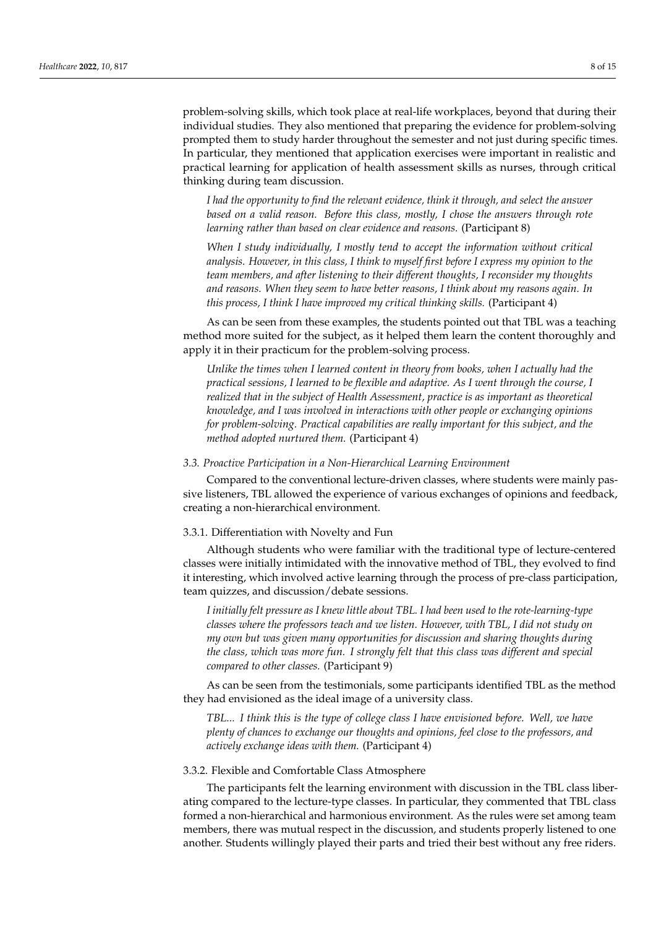problem-solving skills, which took place at real-life workplaces, beyond that during their individual studies. They also mentioned that preparing the evidence for problem-solving prompted them to study harder throughout the semester and not just during specific times. In particular, they mentioned that application exercises were important in realistic and practical learning for application of health assessment skills as nurses, through critical thinking during team discussion.

*I had the opportunity to find the relevant evidence, think it through, and select the answer based on a valid reason. Before this class, mostly, I chose the answers through rote learning rather than based on clear evidence and reasons.* (Participant 8)

*When I study individually, I mostly tend to accept the information without critical analysis. However, in this class, I think to myself first before I express my opinion to the team members, and after listening to their different thoughts, I reconsider my thoughts and reasons. When they seem to have better reasons, I think about my reasons again. In this process, I think I have improved my critical thinking skills.* (Participant 4)

As can be seen from these examples, the students pointed out that TBL was a teaching method more suited for the subject, as it helped them learn the content thoroughly and apply it in their practicum for the problem-solving process.

*Unlike the times when I learned content in theory from books, when I actually had the practical sessions, I learned to be flexible and adaptive. As I went through the course, I realized that in the subject of Health Assessment, practice is as important as theoretical knowledge, and I was involved in interactions with other people or exchanging opinions for problem-solving. Practical capabilities are really important for this subject, and the method adopted nurtured them.* (Participant 4)

*3.3. Proactive Participation in a Non-Hierarchical Learning Environment*

Compared to the conventional lecture-driven classes, where students were mainly passive listeners, TBL allowed the experience of various exchanges of opinions and feedback, creating a non-hierarchical environment.

#### 3.3.1. Differentiation with Novelty and Fun

Although students who were familiar with the traditional type of lecture-centered classes were initially intimidated with the innovative method of TBL, they evolved to find it interesting, which involved active learning through the process of pre-class participation, team quizzes, and discussion/debate sessions.

*I initially felt pressure as I knew little about TBL. I had been used to the rote-learning-type classes where the professors teach and we listen. However, with TBL, I did not study on my own but was given many opportunities for discussion and sharing thoughts during the class, which was more fun. I strongly felt that this class was different and special compared to other classes.* (Participant 9)

As can be seen from the testimonials, some participants identified TBL as the method they had envisioned as the ideal image of a university class.

*TBL... I think this is the type of college class I have envisioned before. Well, we have plenty of chances to exchange our thoughts and opinions, feel close to the professors, and actively exchange ideas with them.* (Participant 4)

#### 3.3.2. Flexible and Comfortable Class Atmosphere

The participants felt the learning environment with discussion in the TBL class liberating compared to the lecture-type classes. In particular, they commented that TBL class formed a non-hierarchical and harmonious environment. As the rules were set among team members, there was mutual respect in the discussion, and students properly listened to one another. Students willingly played their parts and tried their best without any free riders.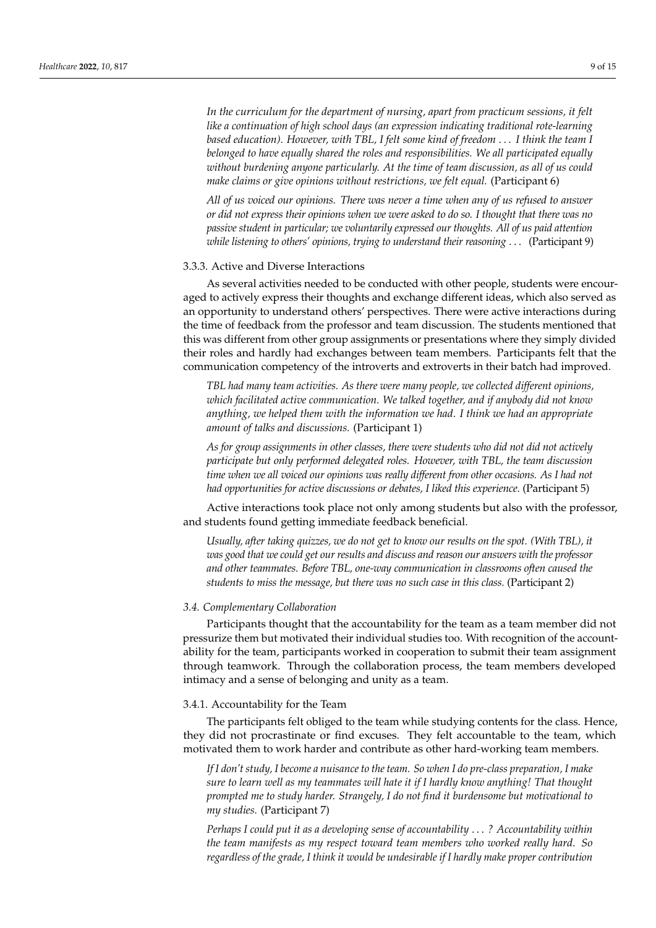*In the curriculum for the department of nursing, apart from practicum sessions, it felt like a continuation of high school days (an expression indicating traditional rote-learning based education). However, with TBL, I felt some kind of freedom* . . . *I think the team I belonged to have equally shared the roles and responsibilities. We all participated equally without burdening anyone particularly. At the time of team discussion, as all of us could make claims or give opinions without restrictions, we felt equal.* (Participant 6)

*All of us voiced our opinions. There was never a time when any of us refused to answer or did not express their opinions when we were asked to do so. I thought that there was no passive student in particular; we voluntarily expressed our thoughts. All of us paid attention while listening to others' opinions, trying to understand their reasoning* . . . (Participant 9)

## 3.3.3. Active and Diverse Interactions

As several activities needed to be conducted with other people, students were encouraged to actively express their thoughts and exchange different ideas, which also served as an opportunity to understand others' perspectives. There were active interactions during the time of feedback from the professor and team discussion. The students mentioned that this was different from other group assignments or presentations where they simply divided their roles and hardly had exchanges between team members. Participants felt that the communication competency of the introverts and extroverts in their batch had improved.

*TBL had many team activities. As there were many people, we collected different opinions, which facilitated active communication. We talked together, and if anybody did not know anything, we helped them with the information we had. I think we had an appropriate amount of talks and discussions.* (Participant 1)

*As for group assignments in other classes, there were students who did not did not actively participate but only performed delegated roles. However, with TBL, the team discussion time when we all voiced our opinions was really different from other occasions. As I had not had opportunities for active discussions or debates, I liked this experience.* (Participant 5)

Active interactions took place not only among students but also with the professor, and students found getting immediate feedback beneficial.

*Usually, after taking quizzes, we do not get to know our results on the spot. (With TBL), it was good that we could get our results and discuss and reason our answers with the professor and other teammates. Before TBL, one-way communication in classrooms often caused the students to miss the message, but there was no such case in this class.* (Participant 2)

## *3.4. Complementary Collaboration*

Participants thought that the accountability for the team as a team member did not pressurize them but motivated their individual studies too. With recognition of the accountability for the team, participants worked in cooperation to submit their team assignment through teamwork. Through the collaboration process, the team members developed intimacy and a sense of belonging and unity as a team.

## 3.4.1. Accountability for the Team

The participants felt obliged to the team while studying contents for the class. Hence, they did not procrastinate or find excuses. They felt accountable to the team, which motivated them to work harder and contribute as other hard-working team members.

*If I don't study, I become a nuisance to the team. So when I do pre-class preparation, I make sure to learn well as my teammates will hate it if I hardly know anything! That thought prompted me to study harder. Strangely, I do not find it burdensome but motivational to my studies.* (Participant 7)

*Perhaps I could put it as a developing sense of accountability* . . . *? Accountability within the team manifests as my respect toward team members who worked really hard. So regardless of the grade, I think it would be undesirable if I hardly make proper contribution*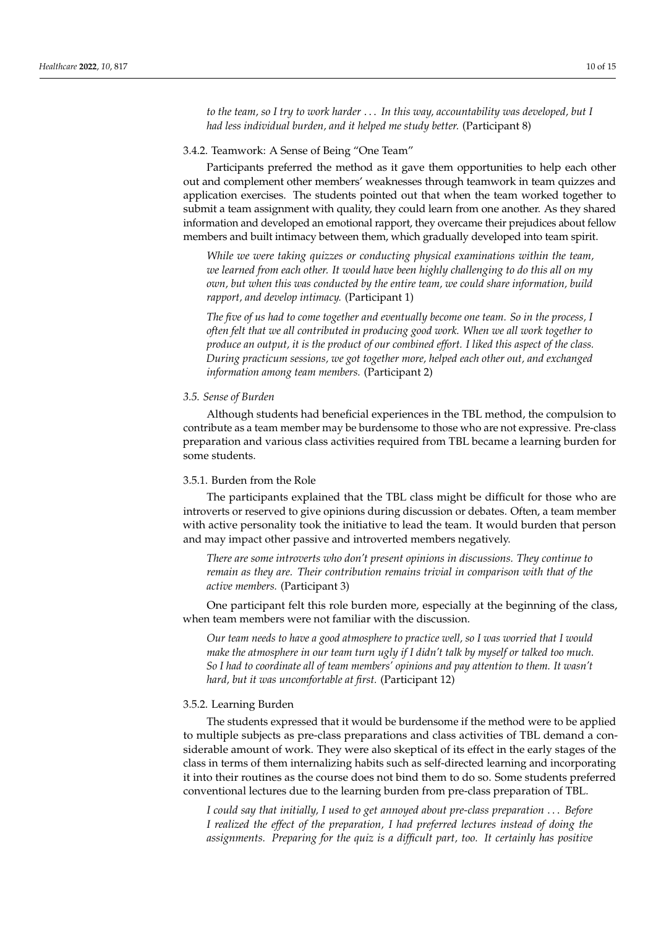*to the team, so I try to work harder* . . . *In this way, accountability was developed, but I had less individual burden, and it helped me study better.* (Participant 8)

## 3.4.2. Teamwork: A Sense of Being "One Team"

Participants preferred the method as it gave them opportunities to help each other out and complement other members' weaknesses through teamwork in team quizzes and application exercises. The students pointed out that when the team worked together to submit a team assignment with quality, they could learn from one another. As they shared information and developed an emotional rapport, they overcame their prejudices about fellow members and built intimacy between them, which gradually developed into team spirit.

*While we were taking quizzes or conducting physical examinations within the team, we learned from each other. It would have been highly challenging to do this all on my own, but when this was conducted by the entire team, we could share information, build rapport, and develop intimacy.* (Participant 1)

*The five of us had to come together and eventually become one team. So in the process, I often felt that we all contributed in producing good work. When we all work together to produce an output, it is the product of our combined effort. I liked this aspect of the class. During practicum sessions, we got together more, helped each other out, and exchanged information among team members.* (Participant 2)

#### *3.5. Sense of Burden*

Although students had beneficial experiences in the TBL method, the compulsion to contribute as a team member may be burdensome to those who are not expressive. Pre-class preparation and various class activities required from TBL became a learning burden for some students.

# 3.5.1. Burden from the Role

The participants explained that the TBL class might be difficult for those who are introverts or reserved to give opinions during discussion or debates. Often, a team member with active personality took the initiative to lead the team. It would burden that person and may impact other passive and introverted members negatively.

*There are some introverts who don't present opinions in discussions. They continue to remain as they are. Their contribution remains trivial in comparison with that of the active members.* (Participant 3)

One participant felt this role burden more, especially at the beginning of the class, when team members were not familiar with the discussion.

*Our team needs to have a good atmosphere to practice well, so I was worried that I would make the atmosphere in our team turn ugly if I didn't talk by myself or talked too much. So I had to coordinate all of team members' opinions and pay attention to them. It wasn't hard, but it was uncomfortable at first.* (Participant 12)

## 3.5.2. Learning Burden

The students expressed that it would be burdensome if the method were to be applied to multiple subjects as pre-class preparations and class activities of TBL demand a considerable amount of work. They were also skeptical of its effect in the early stages of the class in terms of them internalizing habits such as self-directed learning and incorporating it into their routines as the course does not bind them to do so. Some students preferred conventional lectures due to the learning burden from pre-class preparation of TBL.

*I could say that initially, I used to get annoyed about pre-class preparation* . . . *Before I realized the effect of the preparation, I had preferred lectures instead of doing the assignments. Preparing for the quiz is a difficult part, too. It certainly has positive*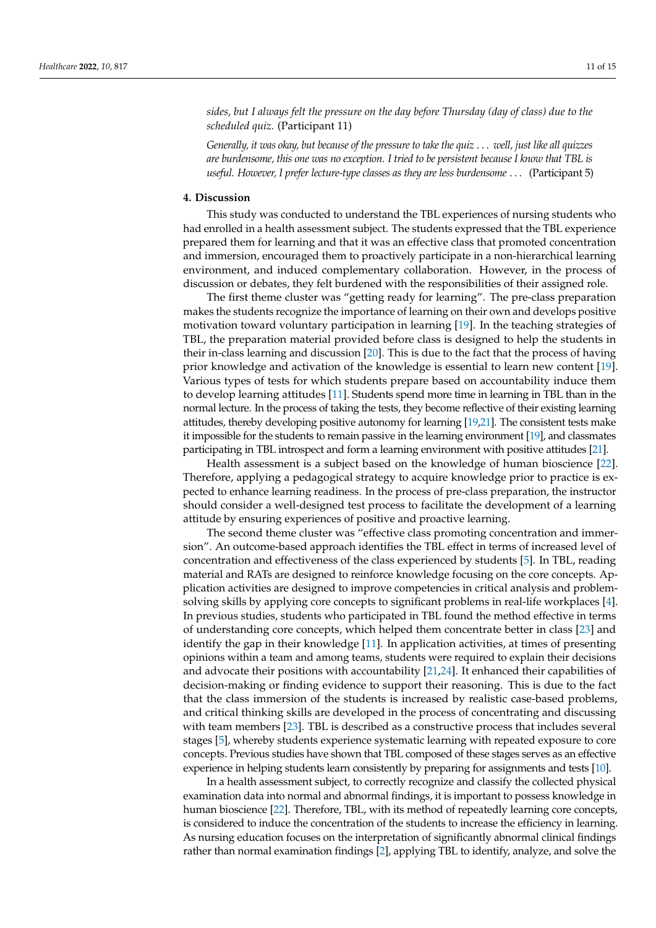*sides, but I always felt the pressure on the day before Thursday (day of class) due to the scheduled quiz.* (Participant 11)

*Generally, it was okay, but because of the pressure to take the quiz* . . . *well, just like all quizzes are burdensome, this one was no exception. I tried to be persistent because I know that TBL is useful. However, I prefer lecture-type classes as they are less burdensome* . . . (Participant 5)

## **4. Discussion**

This study was conducted to understand the TBL experiences of nursing students who had enrolled in a health assessment subject. The students expressed that the TBL experience prepared them for learning and that it was an effective class that promoted concentration and immersion, encouraged them to proactively participate in a non-hierarchical learning environment, and induced complementary collaboration. However, in the process of discussion or debates, they felt burdened with the responsibilities of their assigned role.

The first theme cluster was "getting ready for learning". The pre-class preparation makes the students recognize the importance of learning on their own and develops positive motivation toward voluntary participation in learning [\[19\]](#page-13-16). In the teaching strategies of TBL, the preparation material provided before class is designed to help the students in their in-class learning and discussion [\[20\]](#page-13-17). This is due to the fact that the process of having prior knowledge and activation of the knowledge is essential to learn new content [\[19\]](#page-13-16). Various types of tests for which students prepare based on accountability induce them to develop learning attitudes [\[11\]](#page-13-9). Students spend more time in learning in TBL than in the normal lecture. In the process of taking the tests, they become reflective of their existing learning attitudes, thereby developing positive autonomy for learning [\[19,](#page-13-16)[21\]](#page-13-18). The consistent tests make it impossible for the students to remain passive in the learning environment [\[19\]](#page-13-16), and classmates participating in TBL introspect and form a learning environment with positive attitudes [\[21\]](#page-13-18).

Health assessment is a subject based on the knowledge of human bioscience [\[22\]](#page-13-19). Therefore, applying a pedagogical strategy to acquire knowledge prior to practice is expected to enhance learning readiness. In the process of pre-class preparation, the instructor should consider a well-designed test process to facilitate the development of a learning attitude by ensuring experiences of positive and proactive learning.

The second theme cluster was "effective class promoting concentration and immersion". An outcome-based approach identifies the TBL effect in terms of increased level of concentration and effectiveness of the class experienced by students [\[5\]](#page-13-4). In TBL, reading material and RATs are designed to reinforce knowledge focusing on the core concepts. Application activities are designed to improve competencies in critical analysis and problemsolving skills by applying core concepts to significant problems in real-life workplaces [\[4\]](#page-13-3). In previous studies, students who participated in TBL found the method effective in terms of understanding core concepts, which helped them concentrate better in class [\[23\]](#page-13-20) and identify the gap in their knowledge [\[11\]](#page-13-9). In application activities, at times of presenting opinions within a team and among teams, students were required to explain their decisions and advocate their positions with accountability [\[21,](#page-13-18)[24\]](#page-14-0). It enhanced their capabilities of decision-making or finding evidence to support their reasoning. This is due to the fact that the class immersion of the students is increased by realistic case-based problems, and critical thinking skills are developed in the process of concentrating and discussing with team members [\[23\]](#page-13-20). TBL is described as a constructive process that includes several stages [\[5\]](#page-13-4), whereby students experience systematic learning with repeated exposure to core concepts. Previous studies have shown that TBL composed of these stages serves as an effective experience in helping students learn consistently by preparing for assignments and tests [\[10\]](#page-13-8).

In a health assessment subject, to correctly recognize and classify the collected physical examination data into normal and abnormal findings, it is important to possess knowledge in human bioscience [\[22\]](#page-13-19). Therefore, TBL, with its method of repeatedly learning core concepts, is considered to induce the concentration of the students to increase the efficiency in learning. As nursing education focuses on the interpretation of significantly abnormal clinical findings rather than normal examination findings [\[2\]](#page-13-1), applying TBL to identify, analyze, and solve the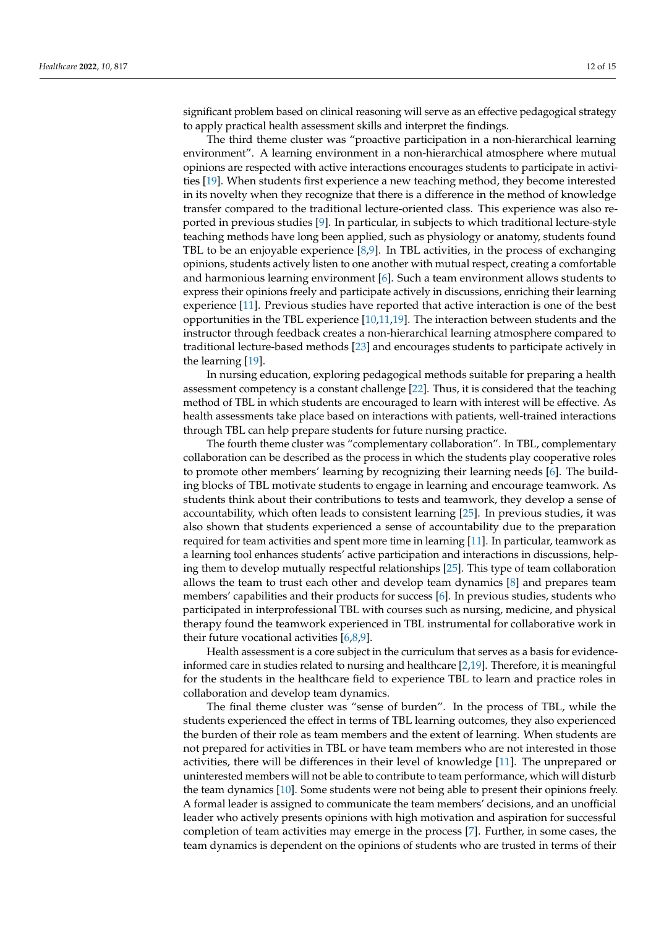significant problem based on clinical reasoning will serve as an effective pedagogical strategy to apply practical health assessment skills and interpret the findings.

The third theme cluster was "proactive participation in a non-hierarchical learning environment". A learning environment in a non-hierarchical atmosphere where mutual opinions are respected with active interactions encourages students to participate in activities [\[19\]](#page-13-16). When students first experience a new teaching method, they become interested in its novelty when they recognize that there is a difference in the method of knowledge transfer compared to the traditional lecture-oriented class. This experience was also reported in previous studies [\[9\]](#page-13-7). In particular, in subjects to which traditional lecture-style teaching methods have long been applied, such as physiology or anatomy, students found TBL to be an enjoyable experience [\[8,](#page-13-21)[9\]](#page-13-7). In TBL activities, in the process of exchanging opinions, students actively listen to one another with mutual respect, creating a comfortable and harmonious learning environment [\[6\]](#page-13-5). Such a team environment allows students to express their opinions freely and participate actively in discussions, enriching their learning experience [\[11\]](#page-13-9). Previous studies have reported that active interaction is one of the best opportunities in the TBL experience [\[10,](#page-13-8)[11,](#page-13-9)[19\]](#page-13-16). The interaction between students and the instructor through feedback creates a non-hierarchical learning atmosphere compared to traditional lecture-based methods [\[23\]](#page-13-20) and encourages students to participate actively in the learning [\[19\]](#page-13-16).

In nursing education, exploring pedagogical methods suitable for preparing a health assessment competency is a constant challenge [\[22\]](#page-13-19). Thus, it is considered that the teaching method of TBL in which students are encouraged to learn with interest will be effective. As health assessments take place based on interactions with patients, well-trained interactions through TBL can help prepare students for future nursing practice.

The fourth theme cluster was "complementary collaboration". In TBL, complementary collaboration can be described as the process in which the students play cooperative roles to promote other members' learning by recognizing their learning needs [\[6\]](#page-13-5). The building blocks of TBL motivate students to engage in learning and encourage teamwork. As students think about their contributions to tests and teamwork, they develop a sense of accountability, which often leads to consistent learning [\[25\]](#page-14-1). In previous studies, it was also shown that students experienced a sense of accountability due to the preparation required for team activities and spent more time in learning [\[11\]](#page-13-9). In particular, teamwork as a learning tool enhances students' active participation and interactions in discussions, helping them to develop mutually respectful relationships [\[25\]](#page-14-1). This type of team collaboration allows the team to trust each other and develop team dynamics [\[8\]](#page-13-21) and prepares team members' capabilities and their products for success [\[6\]](#page-13-5). In previous studies, students who participated in interprofessional TBL with courses such as nursing, medicine, and physical therapy found the teamwork experienced in TBL instrumental for collaborative work in their future vocational activities  $[6,8,9]$  $[6,8,9]$  $[6,8,9]$ .

Health assessment is a core subject in the curriculum that serves as a basis for evidenceinformed care in studies related to nursing and healthcare [\[2,](#page-13-1)[19\]](#page-13-16). Therefore, it is meaningful for the students in the healthcare field to experience TBL to learn and practice roles in collaboration and develop team dynamics.

The final theme cluster was "sense of burden". In the process of TBL, while the students experienced the effect in terms of TBL learning outcomes, they also experienced the burden of their role as team members and the extent of learning. When students are not prepared for activities in TBL or have team members who are not interested in those activities, there will be differences in their level of knowledge [\[11\]](#page-13-9). The unprepared or uninterested members will not be able to contribute to team performance, which will disturb the team dynamics [\[10\]](#page-13-8). Some students were not being able to present their opinions freely. A formal leader is assigned to communicate the team members' decisions, and an unofficial leader who actively presents opinions with high motivation and aspiration for successful completion of team activities may emerge in the process [\[7\]](#page-13-22). Further, in some cases, the team dynamics is dependent on the opinions of students who are trusted in terms of their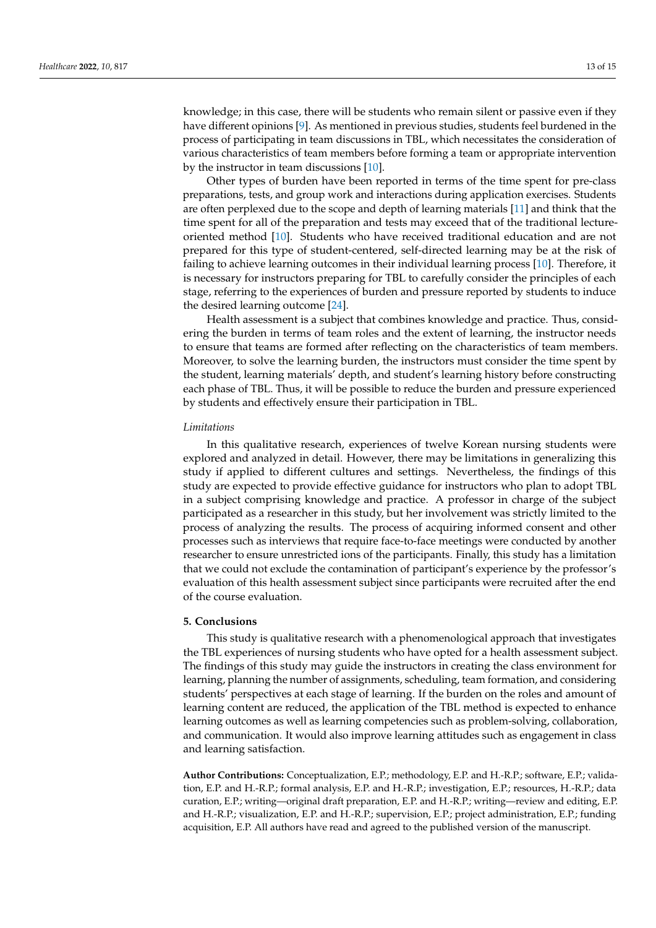knowledge; in this case, there will be students who remain silent or passive even if they have different opinions [\[9\]](#page-13-7). As mentioned in previous studies, students feel burdened in the process of participating in team discussions in TBL, which necessitates the consideration of various characteristics of team members before forming a team or appropriate intervention by the instructor in team discussions [\[10\]](#page-13-8).

Other types of burden have been reported in terms of the time spent for pre-class preparations, tests, and group work and interactions during application exercises. Students are often perplexed due to the scope and depth of learning materials [\[11\]](#page-13-9) and think that the time spent for all of the preparation and tests may exceed that of the traditional lectureoriented method [\[10\]](#page-13-8). Students who have received traditional education and are not prepared for this type of student-centered, self-directed learning may be at the risk of failing to achieve learning outcomes in their individual learning process [\[10\]](#page-13-8). Therefore, it is necessary for instructors preparing for TBL to carefully consider the principles of each stage, referring to the experiences of burden and pressure reported by students to induce the desired learning outcome [\[24\]](#page-14-0).

Health assessment is a subject that combines knowledge and practice. Thus, considering the burden in terms of team roles and the extent of learning, the instructor needs to ensure that teams are formed after reflecting on the characteristics of team members. Moreover, to solve the learning burden, the instructors must consider the time spent by the student, learning materials' depth, and student's learning history before constructing each phase of TBL. Thus, it will be possible to reduce the burden and pressure experienced by students and effectively ensure their participation in TBL.

#### *Limitations*

In this qualitative research, experiences of twelve Korean nursing students were explored and analyzed in detail. However, there may be limitations in generalizing this study if applied to different cultures and settings. Nevertheless, the findings of this study are expected to provide effective guidance for instructors who plan to adopt TBL in a subject comprising knowledge and practice. A professor in charge of the subject participated as a researcher in this study, but her involvement was strictly limited to the process of analyzing the results. The process of acquiring informed consent and other processes such as interviews that require face-to-face meetings were conducted by another researcher to ensure unrestricted ions of the participants. Finally, this study has a limitation that we could not exclude the contamination of participant's experience by the professor's evaluation of this health assessment subject since participants were recruited after the end of the course evaluation.

## **5. Conclusions**

This study is qualitative research with a phenomenological approach that investigates the TBL experiences of nursing students who have opted for a health assessment subject. The findings of this study may guide the instructors in creating the class environment for learning, planning the number of assignments, scheduling, team formation, and considering students' perspectives at each stage of learning. If the burden on the roles and amount of learning content are reduced, the application of the TBL method is expected to enhance learning outcomes as well as learning competencies such as problem-solving, collaboration, and communication. It would also improve learning attitudes such as engagement in class and learning satisfaction.

**Author Contributions:** Conceptualization, E.P.; methodology, E.P. and H.-R.P.; software, E.P.; validation, E.P. and H.-R.P.; formal analysis, E.P. and H.-R.P.; investigation, E.P.; resources, H.-R.P.; data curation, E.P.; writing—original draft preparation, E.P. and H.-R.P.; writing—review and editing, E.P. and H.-R.P.; visualization, E.P. and H.-R.P.; supervision, E.P.; project administration, E.P.; funding acquisition, E.P. All authors have read and agreed to the published version of the manuscript.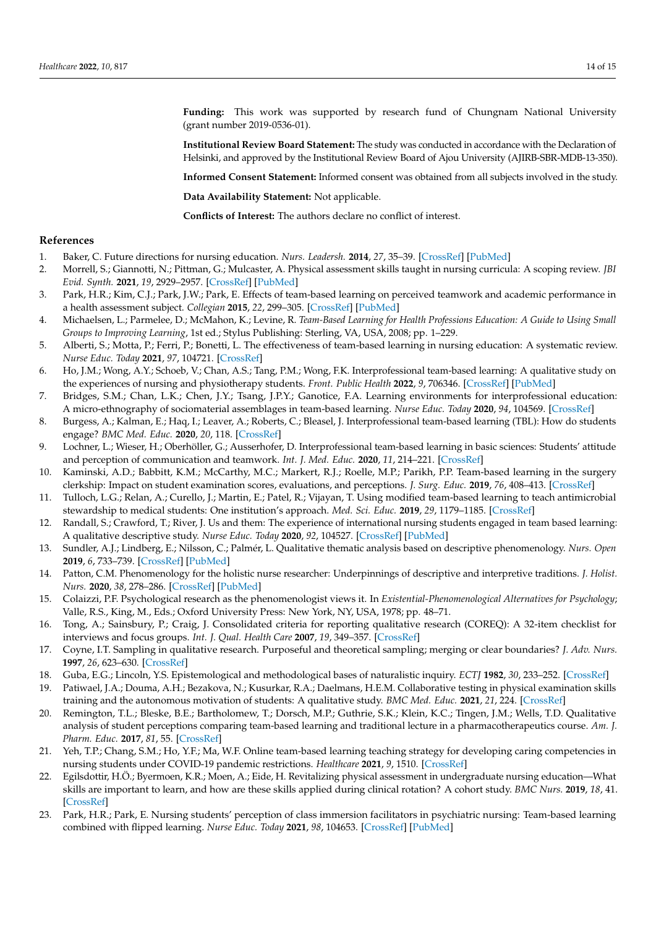**Funding:** This work was supported by research fund of Chungnam National University (grant number 2019-0536-01).

**Institutional Review Board Statement:** The study was conducted in accordance with the Declaration of Helsinki, and approved by the Institutional Review Board of Ajou University (AJIRB-SBR-MDB-13-350).

**Informed Consent Statement:** Informed consent was obtained from all subjects involved in the study.

**Data Availability Statement:** Not applicable.

**Conflicts of Interest:** The authors declare no conflict of interest.

## **References**

- <span id="page-13-0"></span>1. Baker, C. Future directions for nursing education. *Nurs. Leadersh.* **2014**, *27*, 35–39. [\[CrossRef\]](http://doi.org/10.12927/cjnl.2014.23838) [\[PubMed\]](http://www.ncbi.nlm.nih.gov/pubmed/25073055)
- <span id="page-13-1"></span>2. Morrell, S.; Giannotti, N.; Pittman, G.; Mulcaster, A. Physical assessment skills taught in nursing curricula: A scoping review. *JBI Evid. Synth.* **2021**, *19*, 2929–2957. [\[CrossRef\]](http://doi.org/10.11124/JBIES-20-00086) [\[PubMed\]](http://www.ncbi.nlm.nih.gov/pubmed/34100826)
- <span id="page-13-2"></span>3. Park, H.R.; Kim, C.J.; Park, J.W.; Park, E. Effects of team-based learning on perceived teamwork and academic performance in a health assessment subject. *Collegian* **2015**, *22*, 299–305. [\[CrossRef\]](http://doi.org/10.1016/j.colegn.2014.05.001) [\[PubMed\]](http://www.ncbi.nlm.nih.gov/pubmed/26552201)
- <span id="page-13-3"></span>4. Michaelsen, L.; Parmelee, D.; McMahon, K.; Levine, R. *Team-Based Learning for Health Professions Education: A Guide to Using Small Groups to Improving Learning*, 1st ed.; Stylus Publishing: Sterling, VA, USA, 2008; pp. 1–229.
- <span id="page-13-4"></span>5. Alberti, S.; Motta, P.; Ferri, P.; Bonetti, L. The effectiveness of team-based learning in nursing education: A systematic review. *Nurse Educ. Today* **2021**, *97*, 104721. [\[CrossRef\]](http://doi.org/10.1016/j.nedt.2020.104721)
- <span id="page-13-5"></span>6. Ho, J.M.; Wong, A.Y.; Schoeb, V.; Chan, A.S.; Tang, P.M.; Wong, F.K. Interprofessional team-based learning: A qualitative study on the experiences of nursing and physiotherapy students. *Front. Public Health* **2022**, *9*, 706346. [\[CrossRef\]](http://doi.org/10.3389/fpubh.2021.706346) [\[PubMed\]](http://www.ncbi.nlm.nih.gov/pubmed/35174128)
- <span id="page-13-22"></span>7. Bridges, S.M.; Chan, L.K.; Chen, J.Y.; Tsang, J.P.Y.; Ganotice, F.A. Learning environments for interprofessional education: A micro-ethnography of sociomaterial assemblages in team-based learning. *Nurse Educ. Today* **2020**, *94*, 104569. [\[CrossRef\]](http://doi.org/10.1016/j.nedt.2020.104569)
- <span id="page-13-21"></span>8. Burgess, A.; Kalman, E.; Haq, I.; Leaver, A.; Roberts, C.; Bleasel, J. Interprofessional team-based learning (TBL): How do students engage? *BMC Med. Educ.* **2020**, *20*, 118. [\[CrossRef\]](http://doi.org/10.1186/s12909-020-02024-5)
- <span id="page-13-7"></span>9. Lochner, L.; Wieser, H.; Oberhöller, G.; Ausserhofer, D. Interprofessional team-based learning in basic sciences: Students' attitude and perception of communication and teamwork. *Int. J. Med. Educ.* **2020**, *11*, 214–221. [\[CrossRef\]](http://doi.org/10.5116/ijme.5f5b.24e3)
- <span id="page-13-8"></span>10. Kaminski, A.D.; Babbitt, K.M.; McCarthy, M.C.; Markert, R.J.; Roelle, M.P.; Parikh, P.P. Team-based learning in the surgery clerkship: Impact on student examination scores, evaluations, and perceptions. *J. Surg. Educ.* **2019**, *76*, 408–413. [\[CrossRef\]](http://doi.org/10.1016/j.jsurg.2018.07.031)
- <span id="page-13-9"></span>11. Tulloch, L.G.; Relan, A.; Curello, J.; Martin, E.; Patel, R.; Vijayan, T. Using modified team-based learning to teach antimicrobial stewardship to medical students: One institution's approach. *Med. Sci. Educ.* **2019**, *29*, 1179–1185. [\[CrossRef\]](http://doi.org/10.1007/s40670-019-00804-3)
- <span id="page-13-6"></span>12. Randall, S.; Crawford, T.; River, J. Us and them: The experience of international nursing students engaged in team based learning: A qualitative descriptive study. *Nurse Educ. Today* **2020**, *92*, 104527. [\[CrossRef\]](http://doi.org/10.1016/j.nedt.2020.104527) [\[PubMed\]](http://www.ncbi.nlm.nih.gov/pubmed/32659543)
- <span id="page-13-10"></span>13. Sundler, A.J.; Lindberg, E.; Nilsson, C.; Palmér, L. Qualitative thematic analysis based on descriptive phenomenology. *Nurs. Open* **2019**, *6*, 733–739. [\[CrossRef\]](http://doi.org/10.1002/nop2.275) [\[PubMed\]](http://www.ncbi.nlm.nih.gov/pubmed/31367394)
- <span id="page-13-11"></span>14. Patton, C.M. Phenomenology for the holistic nurse researcher: Underpinnings of descriptive and interpretive traditions. *J. Holist. Nurs.* **2020**, *38*, 278–286. [\[CrossRef\]](http://doi.org/10.1177/0898010119882155) [\[PubMed\]](http://www.ncbi.nlm.nih.gov/pubmed/31650887)
- <span id="page-13-12"></span>15. Colaizzi, P.F. Psychological research as the phenomenologist views it. In *Existential-Phenomenological Alternatives for Psychology*; Valle, R.S., King, M., Eds.; Oxford University Press: New York, NY, USA, 1978; pp. 48–71.
- <span id="page-13-13"></span>16. Tong, A.; Sainsbury, P.; Craig, J. Consolidated criteria for reporting qualitative research (COREQ): A 32-item checklist for interviews and focus groups. *Int. J. Qual. Health Care* **2007**, *19*, 349–357. [\[CrossRef\]](http://doi.org/10.1093/intqhc/mzm042)
- <span id="page-13-14"></span>17. Coyne, I.T. Sampling in qualitative research. Purposeful and theoretical sampling; merging or clear boundaries? *J. Adv. Nurs.* **1997**, *26*, 623–630. [\[CrossRef\]](http://doi.org/10.1046/j.1365-2648.1997.t01-25-00999.x)
- <span id="page-13-15"></span>18. Guba, E.G.; Lincoln, Y.S. Epistemological and methodological bases of naturalistic inquiry. *ECTJ* **1982**, *30*, 233–252. [\[CrossRef\]](http://doi.org/10.1007/BF02765185)
- <span id="page-13-16"></span>19. Patiwael, J.A.; Douma, A.H.; Bezakova, N.; Kusurkar, R.A.; Daelmans, H.E.M. Collaborative testing in physical examination skills training and the autonomous motivation of students: A qualitative study. *BMC Med. Educ.* **2021**, *21*, 224. [\[CrossRef\]](http://doi.org/10.1186/s12909-021-02618-7)
- <span id="page-13-17"></span>20. Remington, T.L.; Bleske, B.E.; Bartholomew, T.; Dorsch, M.P.; Guthrie, S.K.; Klein, K.C.; Tingen, J.M.; Wells, T.D. Qualitative analysis of student perceptions comparing team-based learning and traditional lecture in a pharmacotherapeutics course. *Am. J. Pharm. Educ.* **2017**, *81*, 55. [\[CrossRef\]](http://doi.org/10.5688/ajpe81355)
- <span id="page-13-18"></span>21. Yeh, T.P.; Chang, S.M.; Ho, Y.F.; Ma, W.F. Online team-based learning teaching strategy for developing caring competencies in nursing students under COVID-19 pandemic restrictions. *Healthcare* **2021**, *9*, 1510. [\[CrossRef\]](http://doi.org/10.3390/healthcare9111510)
- <span id="page-13-19"></span>22. Egilsdottir, H.Ö.; Byermoen, K.R.; Moen, A.; Eide, H. Revitalizing physical assessment in undergraduate nursing education—What skills are important to learn, and how are these skills applied during clinical rotation? A cohort study. *BMC Nurs.* **2019**, *18*, 41. [\[CrossRef\]](http://doi.org/10.1186/s12912-019-0364-9)
- <span id="page-13-20"></span>23. Park, H.R.; Park, E. Nursing students' perception of class immersion facilitators in psychiatric nursing: Team-based learning combined with flipped learning. *Nurse Educ. Today* **2021**, *98*, 104653. [\[CrossRef\]](http://doi.org/10.1016/j.nedt.2020.104653) [\[PubMed\]](http://www.ncbi.nlm.nih.gov/pubmed/33303247)